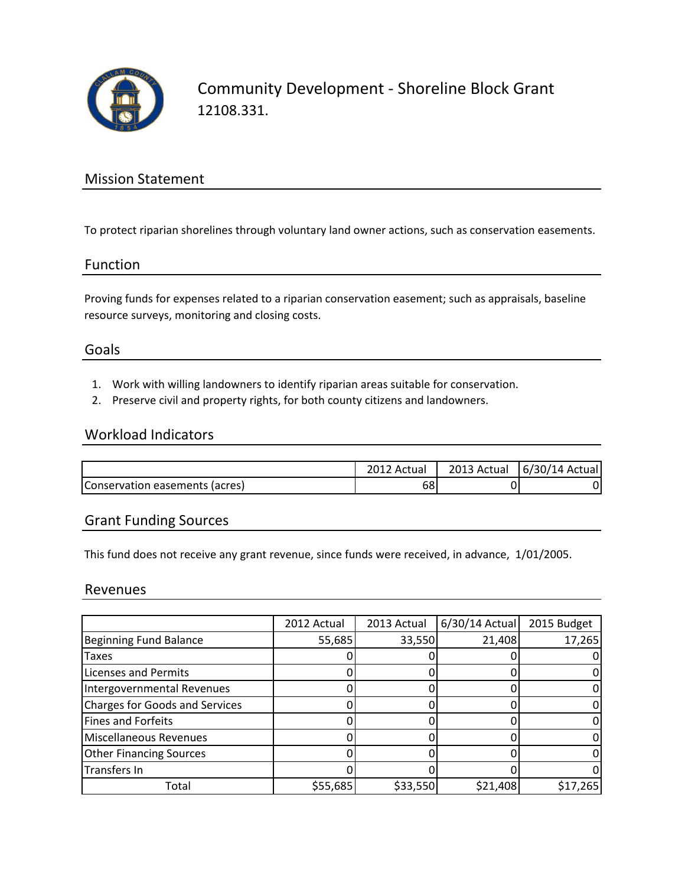

Community Development - Shoreline Block Grant 12108.331.

## Mission Statement

To protect riparian shorelines through voluntary land owner actions, such as conservation easements.

#### Function

Proving funds for expenses related to a riparian conservation easement; such as appraisals, baseline resource surveys, monitoring and closing costs.

### Goals

- 1. Work with willing landowners to identify riparian areas suitable for conservation.
- 2. Preserve civil and property rights, for both county citizens and landowners.

### Workload Indicators

|                                | Actual | 2013 Actual | 6/30/14 Actual |
|--------------------------------|--------|-------------|----------------|
| Conservation easements (acres) | 68     |             |                |

## Grant Funding Sources

This fund does not receive any grant revenue, since funds were received, in advance, 1/01/2005.

#### Revenues

|                                       | 2012 Actual | 2013 Actual | $6/30/14$ Actual | 2015 Budget |
|---------------------------------------|-------------|-------------|------------------|-------------|
| <b>Beginning Fund Balance</b>         | 55,685      | 33,550      | 21,408           | 17,265      |
| <b>Taxes</b>                          |             |             |                  |             |
| <b>Licenses and Permits</b>           |             |             |                  |             |
| Intergovernmental Revenues            |             |             |                  |             |
| <b>Charges for Goods and Services</b> |             |             |                  |             |
| <b>Fines and Forfeits</b>             |             |             |                  |             |
| Miscellaneous Revenues                |             |             |                  |             |
| <b>Other Financing Sources</b>        |             |             |                  |             |
| Transfers In                          |             |             |                  |             |
| Total                                 | \$55,685    | \$33,550    | \$21,408         | \$17,265    |